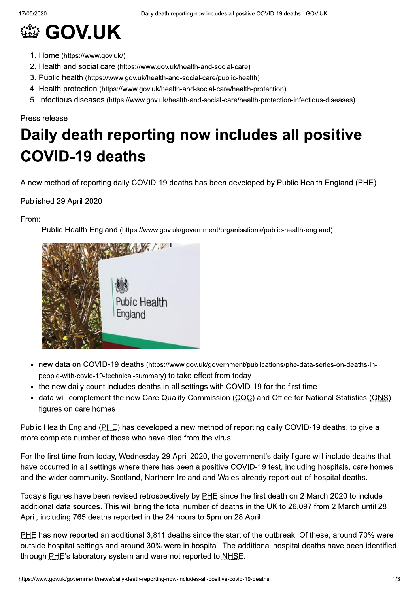# *si* GOV.UK

- 1. Home (https://www.gov.uk/)
- 2. Health and social care (https://www.gov.uk/health-and-social-care)
- 3. Public health (https://www.gov.uk/health-and-social-care/public-health)
- 4. Health protection (https://www.gov.uk/health-and-social-care/health-protection)
- 5. Infectious diseases (https://www.gov.uk/health-and-social-care/health-protection-infectious-diseases)

#### Press release

## Daily death reporting now includes all positive **COVID-19 deaths**

A new method of reporting daily COVID-19 deaths has been developed by Public Health England (PHE).

Published 29 April 2020

From:

Public Health England (https://www.gov.uk/government/organisations/public-health-england)



- new data on COVID-19 deaths (https://www.gov.uk/government/publications/phe-data-series-on-deaths-inpeople-with-covid-19-technical-summary) to take effect from today
- the new daily count includes deaths in all settings with COVID-19 for the first time
- data will complement the new Care Quality Commission (CQC) and Office for National Statistics (ONS) figures on care homes

Public Health England (PHE) has developed a new method of reporting daily COVID-19 deaths, to give a more complete number of those who have died from the virus.

For the first time from today, Wednesday 29 April 2020, the government's daily figure will include deaths that have occurred in all settings where there has been a positive COVID-19 test, including hospitals, care homes and the wider community. Scotland, Northern Ireland and Wales already report out-of-hospital deaths.

Today's figures have been revised retrospectively by PHE since the first death on 2 March 2020 to include additional data sources. This will bring the total number of deaths in the UK to 26,097 from 2 March until 28 April, including 765 deaths reported in the 24 hours to 5pm on 28 April.

PHE has now reported an additional 3,811 deaths since the start of the outbreak. Of these, around 70% were outside hospital settings and around 30% were in hospital. The additional hospital deaths have been identified through PHE's laboratory system and were not reported to NHSE.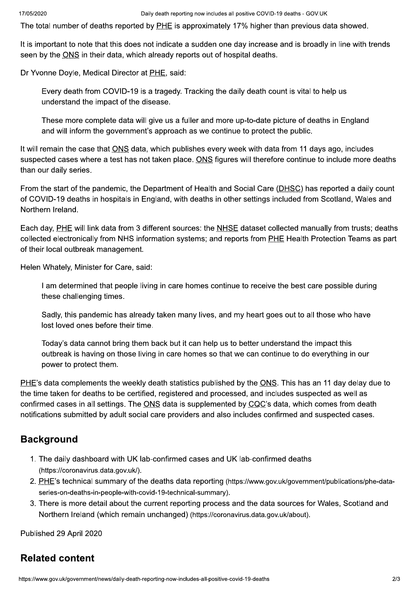Daily death reporting now includes all positive COVID-19 deaths - GOV.UK

The total number of deaths reported by PHE is approximately 17% higher than previous data showed.

It is important to note that this does not indicate a sudden one day increase and is broadly in line with trends seen by the ONS in their data, which already reports out of hospital deaths.

Dr Yvonne Doyle, Medical Director at PHE, said:

Every death from COVID-19 is a tragedy. Tracking the daily death count is vital to help us understand the impact of the disease.

These more complete data will give us a fuller and more up-to-date picture of deaths in England and will inform the government's approach as we continue to protect the public.

It will remain the case that ONS data, which publishes every week with data from 11 days ago, includes suspected cases where a test has not taken place. ONS figures will therefore continue to include more deaths than our daily series.

From the start of the pandemic, the Department of Health and Social Care (DHSC) has reported a daily count of COVID-19 deaths in hospitals in England, with deaths in other settings included from Scotland, Wales and Northern Ireland.

Each day, PHE will link data from 3 different sources: the NHSE dataset collected manually from trusts; deaths collected electronically from NHS information systems; and reports from PHE Health Protection Teams as part of their local outbreak management.

Helen Whately, Minister for Care, said:

I am determined that people living in care homes continue to receive the best care possible during these challenging times.

Sadly, this pandemic has already taken many lives, and my heart goes out to all those who have lost loved ones before their time.

Today's data cannot bring them back but it can help us to better understand the impact this outbreak is having on those living in care homes so that we can continue to do everything in our power to protect them.

PHE's data complements the weekly death statistics published by the ONS. This has an 11 day delay due to the time taken for deaths to be certified, registered and processed, and includes suspected as well as confirmed cases in all settings. The **ONS** data is supplemented by CQC's data, which comes from death notifications submitted by adult social care providers and also includes confirmed and suspected cases.

#### **Background**

- 1. The daily dashboard with UK lab-confirmed cases and UK lab-confirmed deaths (https://coronavirus.data.gov.uk/).
- 2. PHE's technical summary of the deaths data reporting (https://www.gov.uk/government/publications/phe-dataseries-on-deaths-in-people-with-covid-19-technical-summary).
- 3. There is more detail about the current reporting process and the data sources for Wales, Scotland and Northern Ireland (which remain unchanged) (https://coronavirus.data.gov.uk/about).

Published 29 April 2020

#### **Related content**